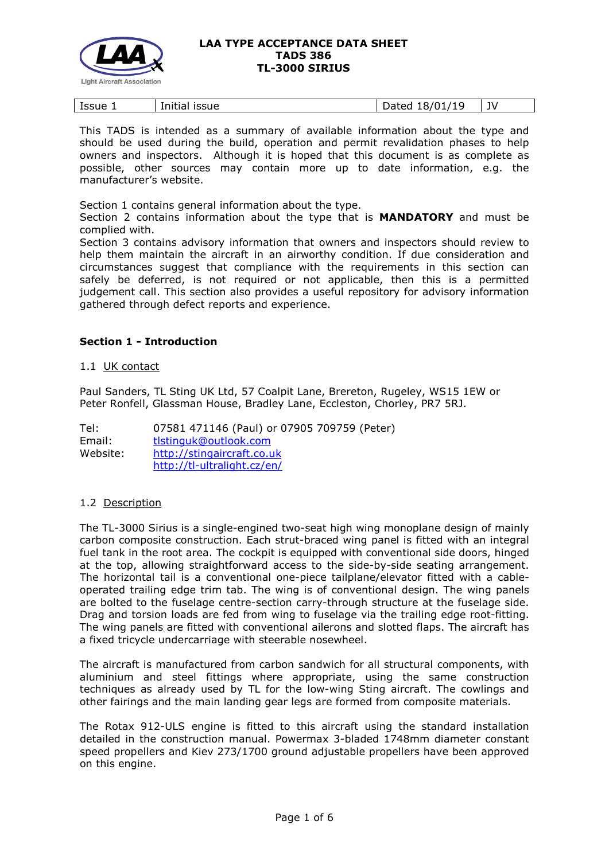

| Issue | .<br><b>ISSUE</b><br>1.0.11.0<br>Initial | 11C<br>-<br>- 0<br>hatari<br>$+0/$ '<br>Daleu<br>---- | JV |
|-------|------------------------------------------|-------------------------------------------------------|----|
|       |                                          |                                                       |    |

This TADS is intended as a summary of available information about the type and should be used during the build, operation and permit revalidation phases to help owners and inspectors. Although it is hoped that this document is as complete as possible, other sources may contain more up to date information, e.g. the manufacturer's website.

Section 1 contains general information about the type.

Section 2 contains information about the type that is **MANDATORY** and must be complied with.

Section 3 contains advisory information that owners and inspectors should review to help them maintain the aircraft in an airworthy condition. If due consideration and circumstances suggest that compliance with the requirements in this section can safely be deferred, is not required or not applicable, then this is a permitted judgement call. This section also provides a useful repository for advisory information gathered through defect reports and experience.

## **Section 1 - Introduction**

### 1.1 UK contact

Paul Sanders, TL Sting UK Ltd, 57 Coalpit Lane, Brereton, Rugeley, WS15 1EW or Peter Ronfell, Glassman House, Bradley Lane, Eccleston, Chorley, PR7 5RJ.

Tel: 07581 471146 (Paul) or 07905 709759 (Peter) Email: [tlstinguk@outlook.com](mailto:tlstinguk@outlook.com) Website: [http://stingaircraft.co.uk](http://stingaircraft.co.uk/)  <http://tl-ultralight.cz/en/>

## 1.2 Description

The TL-3000 Sirius is a single-engined two-seat high wing monoplane design of mainly carbon composite construction. Each strut-braced wing panel is fitted with an integral fuel tank in the root area. The cockpit is equipped with conventional side doors, hinged at the top, allowing straightforward access to the side-by-side seating arrangement. The horizontal tail is a conventional one-piece tailplane/elevator fitted with a cableoperated trailing edge trim tab. The wing is of conventional design. The wing panels are bolted to the fuselage centre-section carry-through structure at the fuselage side. Drag and torsion loads are fed from wing to fuselage via the trailing edge root-fitting. The wing panels are fitted with conventional ailerons and slotted flaps. The aircraft has a fixed tricycle undercarriage with steerable nosewheel.

The aircraft is manufactured from carbon sandwich for all structural components, with aluminium and steel fittings where appropriate, using the same construction techniques as already used by TL for the low-wing Sting aircraft. The cowlings and other fairings and the main landing gear legs are formed from composite materials.

The Rotax 912-ULS engine is fitted to this aircraft using the standard installation detailed in the construction manual. Powermax 3-bladed 1748mm diameter constant speed propellers and Kiev 273/1700 ground adjustable propellers have been approved on this engine.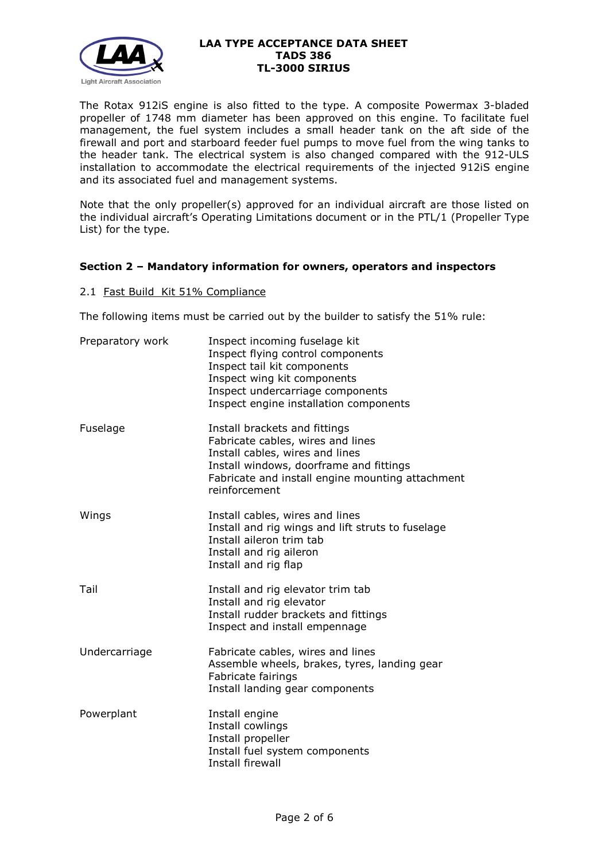

The Rotax 912iS engine is also fitted to the type. A composite Powermax 3-bladed propeller of 1748 mm diameter has been approved on this engine. To facilitate fuel management, the fuel system includes a small header tank on the aft side of the firewall and port and starboard feeder fuel pumps to move fuel from the wing tanks to the header tank. The electrical system is also changed compared with the 912-ULS installation to accommodate the electrical requirements of the injected 912iS engine and its associated fuel and management systems.

Note that the only propeller(s) approved for an individual aircraft are those listed on the individual aircraft's Operating Limitations document or in the PTL/1 (Propeller Type List) for the type.

# **Section 2 – Mandatory information for owners, operators and inspectors**

## 2.1 Fast Build Kit 51% Compliance

The following items must be carried out by the builder to satisfy the 51% rule:

| Preparatory work | Inspect incoming fuselage kit<br>Inspect flying control components<br>Inspect tail kit components<br>Inspect wing kit components<br>Inspect undercarriage components<br>Inspect engine installation components        |
|------------------|-----------------------------------------------------------------------------------------------------------------------------------------------------------------------------------------------------------------------|
| Fuselage         | Install brackets and fittings<br>Fabricate cables, wires and lines<br>Install cables, wires and lines<br>Install windows, doorframe and fittings<br>Fabricate and install engine mounting attachment<br>reinforcement |
| Wings            | Install cables, wires and lines<br>Install and rig wings and lift struts to fuselage<br>Install aileron trim tab<br>Install and rig aileron<br>Install and rig flap                                                   |
| Tail             | Install and rig elevator trim tab<br>Install and rig elevator<br>Install rudder brackets and fittings<br>Inspect and install empennage                                                                                |
| Undercarriage    | Fabricate cables, wires and lines<br>Assemble wheels, brakes, tyres, landing gear<br>Fabricate fairings<br>Install landing gear components                                                                            |
| Powerplant       | Install engine<br>Install cowlings<br>Install propeller<br>Install fuel system components<br>Install firewall                                                                                                         |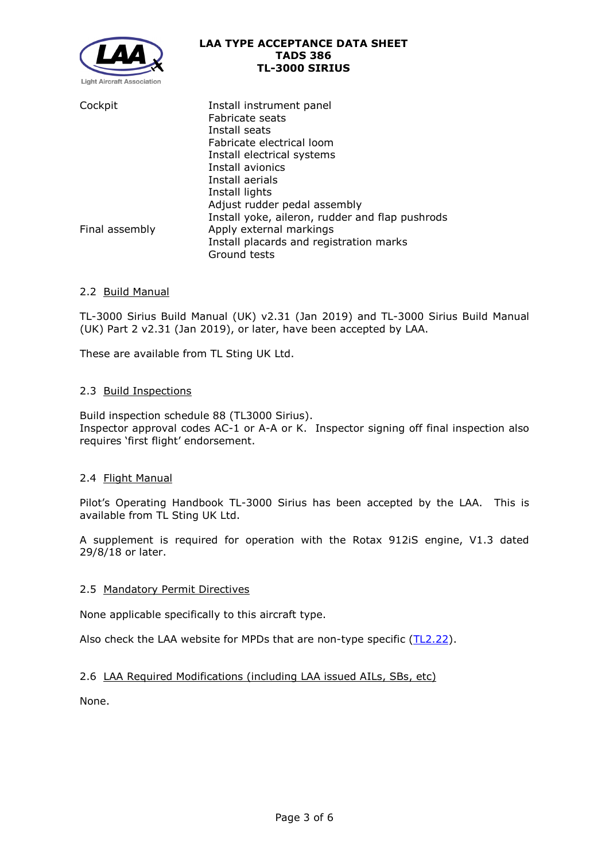

| Cockpit        | Install instrument panel<br>Fabricate seats     |
|----------------|-------------------------------------------------|
|                | Install seats                                   |
|                | Fabricate electrical loom                       |
|                | Install electrical systems                      |
|                | Install avionics                                |
|                | Install aerials                                 |
|                | Install lights                                  |
|                | Adjust rudder pedal assembly                    |
|                | Install yoke, aileron, rudder and flap pushrods |
| Final assembly | Apply external markings                         |
|                | Install placards and registration marks         |
|                | Ground tests                                    |

# 2.2 Build Manual

TL-3000 Sirius Build Manual (UK) v2.31 (Jan 2019) and TL-3000 Sirius Build Manual (UK) Part 2 v2.31 (Jan 2019), or later, have been accepted by LAA.

These are available from TL Sting UK Ltd.

## 2.3 Build Inspections

Build inspection schedule 88 (TL3000 Sirius). Inspector approval codes AC-1 or A-A or K. Inspector signing off final inspection also requires 'first flight' endorsement.

## 2.4 Flight Manual

Pilot's Operating Handbook TL-3000 Sirius has been accepted by the LAA. This is available from TL Sting UK Ltd.

A supplement is required for operation with the Rotax 912iS engine, V1.3 dated 29/8/18 or later.

## 2.5 Mandatory Permit Directives

None applicable specifically to this aircraft type.

Also check the LAA website for MPDs that are non-type specific [\(TL2.22\)](http://www.lightaircraftassociation.co.uk/engineering/TechnicalLeaflets/Operating%20An%20Aircraft/TL%202.22%20non-type%20specific%20MPDs.pdf).

# 2.6 LAA Required Modifications (including LAA issued AILs, SBs, etc)

None.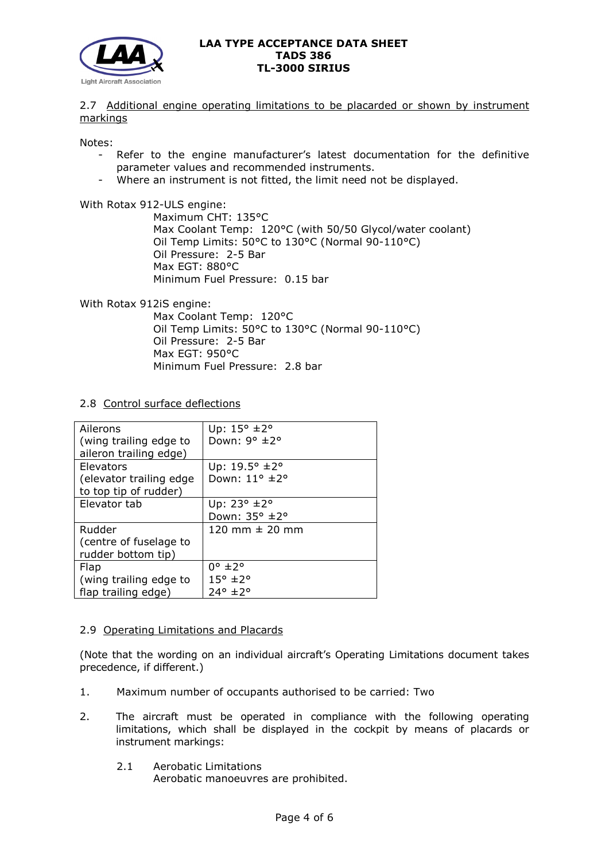

2.7 Additional engine operating limitations to be placarded or shown by instrument markings

Notes:

- Refer to the engine manufacturer's latest documentation for the definitive parameter values and recommended instruments.
- Where an instrument is not fitted, the limit need not be displayed.

With Rotax 912-ULS engine:

Maximum CHT: 135°C Max Coolant Temp: 120°C (with 50/50 Glycol/water coolant) Oil Temp Limits: 50°C to 130°C (Normal 90-110°C) Oil Pressure: 2-5 Bar Max EGT: 880°C Minimum Fuel Pressure: 0.15 bar

With Rotax 912iS engine:

Max Coolant Temp: 120°C Oil Temp Limits: 50°C to 130°C (Normal 90-110°C) Oil Pressure: 2-5 Bar Max EGT: 950°C Minimum Fuel Pressure: 2.8 bar

2.8 Control surface deflections

| Ailerons<br>(wing trailing edge to<br>aileron trailing edge)         | Up: $15^{\circ}$ ±2°<br>Down: $9^{\circ}$ $\pm$ 2°                 |
|----------------------------------------------------------------------|--------------------------------------------------------------------|
| <b>Elevators</b><br>(elevator trailing edge<br>to top tip of rudder) | Up: 19.5° ±2°<br>Down: 11° ±2°                                     |
| Elevator tab                                                         | Up: $23^{\circ}$ $\pm 2^{\circ}$<br>Down: 35° ±2°                  |
| Rudder<br>(centre of fuselage to<br>rudder bottom tip)               | 120 mm $\pm$ 20 mm                                                 |
| Flap<br>(wing trailing edge to<br>flap trailing edge)                | $0^{\circ}$ ±2 $^{\circ}$<br>$15^{\circ}$ ±2 $^{\circ}$<br>24° ±2° |

## 2.9 Operating Limitations and Placards

(Note that the wording on an individual aircraft's Operating Limitations document takes precedence, if different.)

- 1. Maximum number of occupants authorised to be carried: Two
- 2. The aircraft must be operated in compliance with the following operating limitations, which shall be displayed in the cockpit by means of placards or instrument markings:
	- 2.1 Aerobatic Limitations

Aerobatic manoeuvres are prohibited.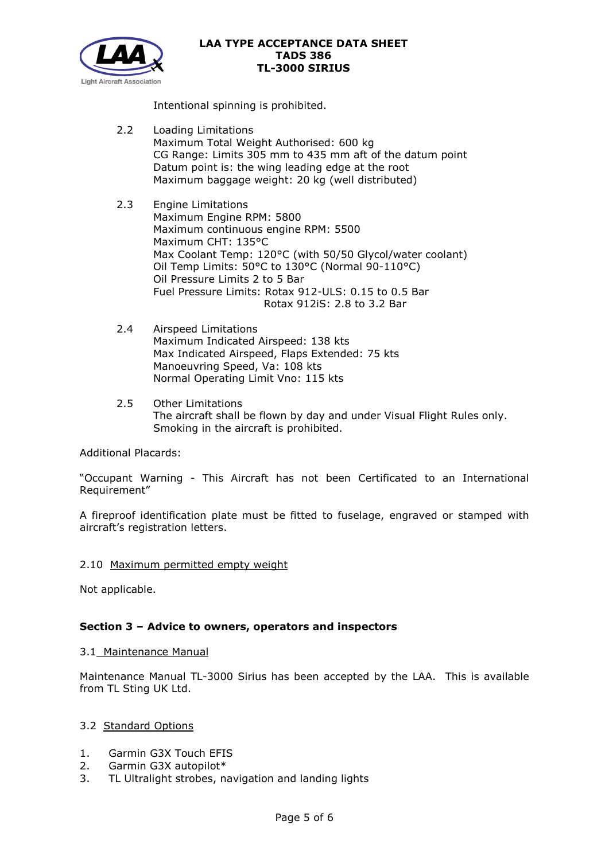

Intentional spinning is prohibited.

- 2.2 Loading Limitations Maximum Total Weight Authorised: 600 kg CG Range: Limits 305 mm to 435 mm aft of the datum point Datum point is: the wing leading edge at the root Maximum baggage weight: 20 kg (well distributed)
- 2.3 Engine Limitations Maximum Engine RPM: 5800 Maximum continuous engine RPM: 5500 Maximum CHT: 135°C Max Coolant Temp: 120°C (with 50/50 Glycol/water coolant) Oil Temp Limits: 50°C to 130°C (Normal 90-110°C) Oil Pressure Limits 2 to 5 Bar Fuel Pressure Limits: Rotax 912-ULS: 0.15 to 0.5 Bar Rotax 912iS: 2.8 to 3.2 Bar
- 2.4 Airspeed Limitations Maximum Indicated Airspeed: 138 kts Max Indicated Airspeed, Flaps Extended: 75 kts Manoeuvring Speed, Va: 108 kts Normal Operating Limit Vno: 115 kts
- 2.5 Other Limitations The aircraft shall be flown by day and under Visual Flight Rules only. Smoking in the aircraft is prohibited.

Additional Placards:

"Occupant Warning - This Aircraft has not been Certificated to an International Requirement"

A fireproof identification plate must be fitted to fuselage, engraved or stamped with aircraft's registration letters.

## 2.10 Maximum permitted empty weight

Not applicable.

# **Section 3 – Advice to owners, operators and inspectors**

## 3.1 Maintenance Manual

Maintenance Manual TL-3000 Sirius has been accepted by the LAA. This is available from TL Sting UK Ltd.

## 3.2 Standard Options

- 1. Garmin G3X Touch EFIS
- 2. Garmin G3X autopilot\*
- 3. TL Ultralight strobes, navigation and landing lights